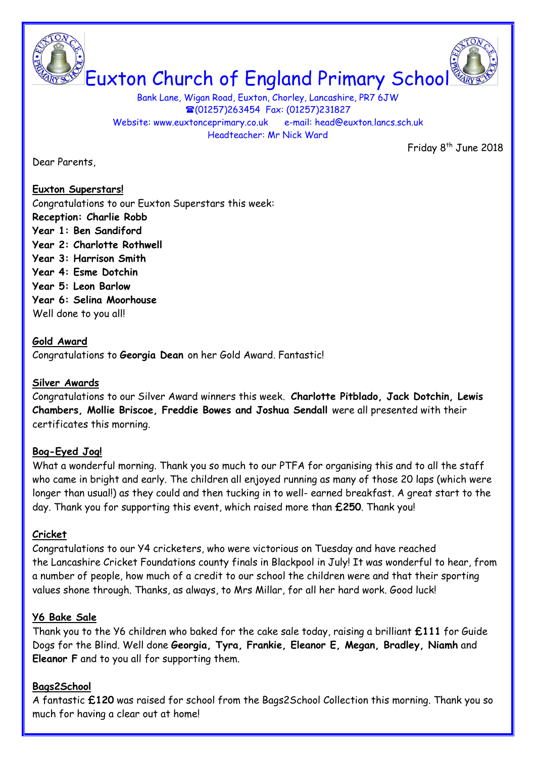

Bank Lane, Wigan Road, Euxton, Chorley, Lancashire, PR7 6JW (01257)263454 Fax: (01257)231827 Website: www.euxtonceprimary.co.uk e-mail: [head@euxton.lancs.sch.uk](mailto:head@euxton.lancs.sch.uk) Headteacher: Mr Nick Ward

Dear Parents,

Friday 8<sup>th</sup> June 2018

### **Euxton Superstars!**

Congratulations to our Euxton Superstars this week: **Reception: Charlie Robb Year 1: Ben Sandiford Year 2: Charlotte Rothwell Year 3: Harrison Smith Year 4: Esme Dotchin Year 5: Leon Barlow Year 6: Selina Moorhouse** Well done to you all!

### **Gold Award**

Congratulations to **Georgia Dean** on her Gold Award. Fantastic!

### **Silver Awards**

Congratulations to our Silver Award winners this week. **Charlotte Pitblado, Jack Dotchin, Lewis Chambers, Mollie Briscoe, Freddie Bowes and Joshua Sendall** were all presented with their certificates this morning.

# **Bog-Eyed Jog!**

What a wonderful morning. Thank you so much to our PTFA for organising this and to all the staff who came in bright and early. The children all enjoyed running as many of those 20 laps (which were longer than usual!) as they could and then tucking in to well- earned breakfast. A great start to the day. Thank you for supporting this event, which raised more than **£250**. Thank you!

### **Cricket**

Congratulations to our Y4 cricketers, who were victorious on Tuesday and have reached the Lancashire Cricket Foundations county finals in Blackpool in July! It was wonderful to hear, from a number of people, how much of a credit to our school the children were and that their sporting values shone through. Thanks, as always, to Mrs Millar, for all her hard work. Good luck!

### **Y6 Bake Sale**

Thank you to the Y6 children who baked for the cake sale today, raising a brilliant **£111** for Guide Dogs for the Blind. Well done **Georgia, Tyra, Frankie, Eleanor E, Megan, Bradley, Niamh** and **Eleanor F** and to you all for supporting them.

### **Bags2School**

A fantastic **£120** was raised for school from the Bags2School Collection this morning. Thank you so much for having a clear out at home!